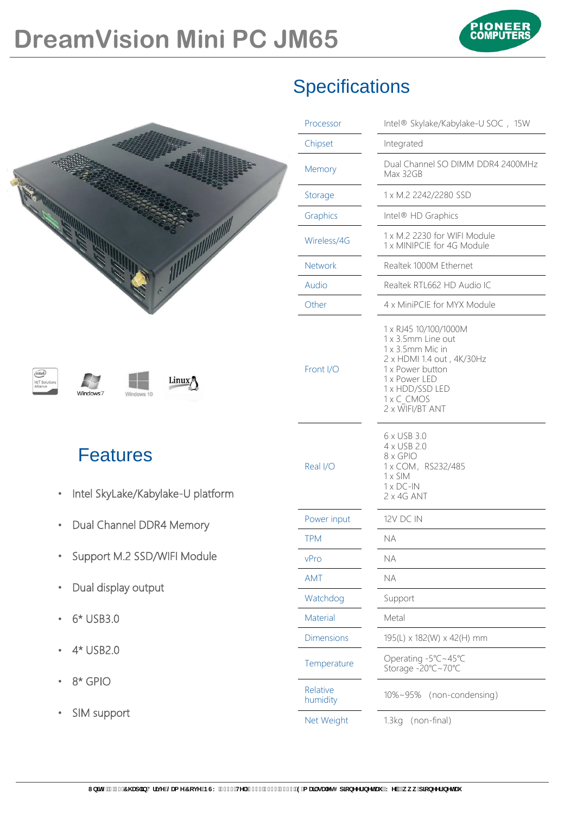

|                                                                                             | <b>Specifications</b> |                                                                                                                                                                                       |  |  |
|---------------------------------------------------------------------------------------------|-----------------------|---------------------------------------------------------------------------------------------------------------------------------------------------------------------------------------|--|--|
|                                                                                             | Processor             | Intel® Skylake/Kabylake-U SOC, 15W                                                                                                                                                    |  |  |
|                                                                                             | Chipset               | Integrated                                                                                                                                                                            |  |  |
|                                                                                             | Memory                | Dual Channel SO DIMM DDR4 2400MHz<br>Max 32GB                                                                                                                                         |  |  |
|                                                                                             | Storage               | 1 x M.2 2242/2280 SSD                                                                                                                                                                 |  |  |
|                                                                                             | Graphics              | Intel® HD Graphics                                                                                                                                                                    |  |  |
|                                                                                             | Wireless/4G           | 1 x M.2 2230 for WIFI Module<br>1 x MINIPCIE for 4G Module                                                                                                                            |  |  |
|                                                                                             | <b>Network</b>        | Realtek 1000M Ethernet                                                                                                                                                                |  |  |
|                                                                                             | Audio                 | Realtek RTL662 HD Audio IC                                                                                                                                                            |  |  |
|                                                                                             | Other                 | 4 x MiniPCIE for MYX Module                                                                                                                                                           |  |  |
| (intel)<br>Linux <sub>2</sub><br><b>IoT</b> Solution:<br>Windows <sup>7</sup><br>Windows 10 | Front I/O             | 1 x RJ45 10/100/1000M<br>1 x 3.5mm Line out<br>1 x 3.5mm Mic in<br>2 x HDMI 1.4 out, 4K/30Hz<br>1 x Power button<br>1 x Power LED<br>1 x HDD/SSD LED<br>1 x C CMOS<br>2 x WIFI/BT ANT |  |  |
| <b>Features</b><br>Intel SkyLake/Kabylake-U platform                                        | Real I/O              | 6 x USB 3.0<br>4 x USB 2.0<br>8 x GPIO<br>1 x COM, RS232/485<br>$1 \times$ SIM<br>$1 \times DC$ -IN                                                                                   |  |  |
|                                                                                             |                       | 2 x 4G ANT                                                                                                                                                                            |  |  |
| Dual Channel DDR4 Memory                                                                    | Power input           | 12V DC IN                                                                                                                                                                             |  |  |
| Support M.2 SSD/WIFI Module<br>$\bullet$                                                    | <b>TPM</b><br>vPro    | <b>NA</b><br>NA                                                                                                                                                                       |  |  |
|                                                                                             | AMT                   | $\sf NA$                                                                                                                                                                              |  |  |
| Dual display output                                                                         | Watchdog              | Support                                                                                                                                                                               |  |  |
| 6* USB3.0                                                                                   | Material              | Metal                                                                                                                                                                                 |  |  |
|                                                                                             | <b>Dimensions</b>     | 195(L) x 182(W) x 42(H) mm                                                                                                                                                            |  |  |
| 4* USB2.0                                                                                   | Temperature           | Operating -5°C~45°C<br>Storage -20°C~70°C                                                                                                                                             |  |  |
| 8* GPIO                                                                                     | Relative<br>humidity  | 10%~95% (non-condensing)                                                                                                                                                              |  |  |
| SIM support                                                                                 | Net Weight            | 1.3kg (non-final)                                                                                                                                                                     |  |  |

## **Specifications**